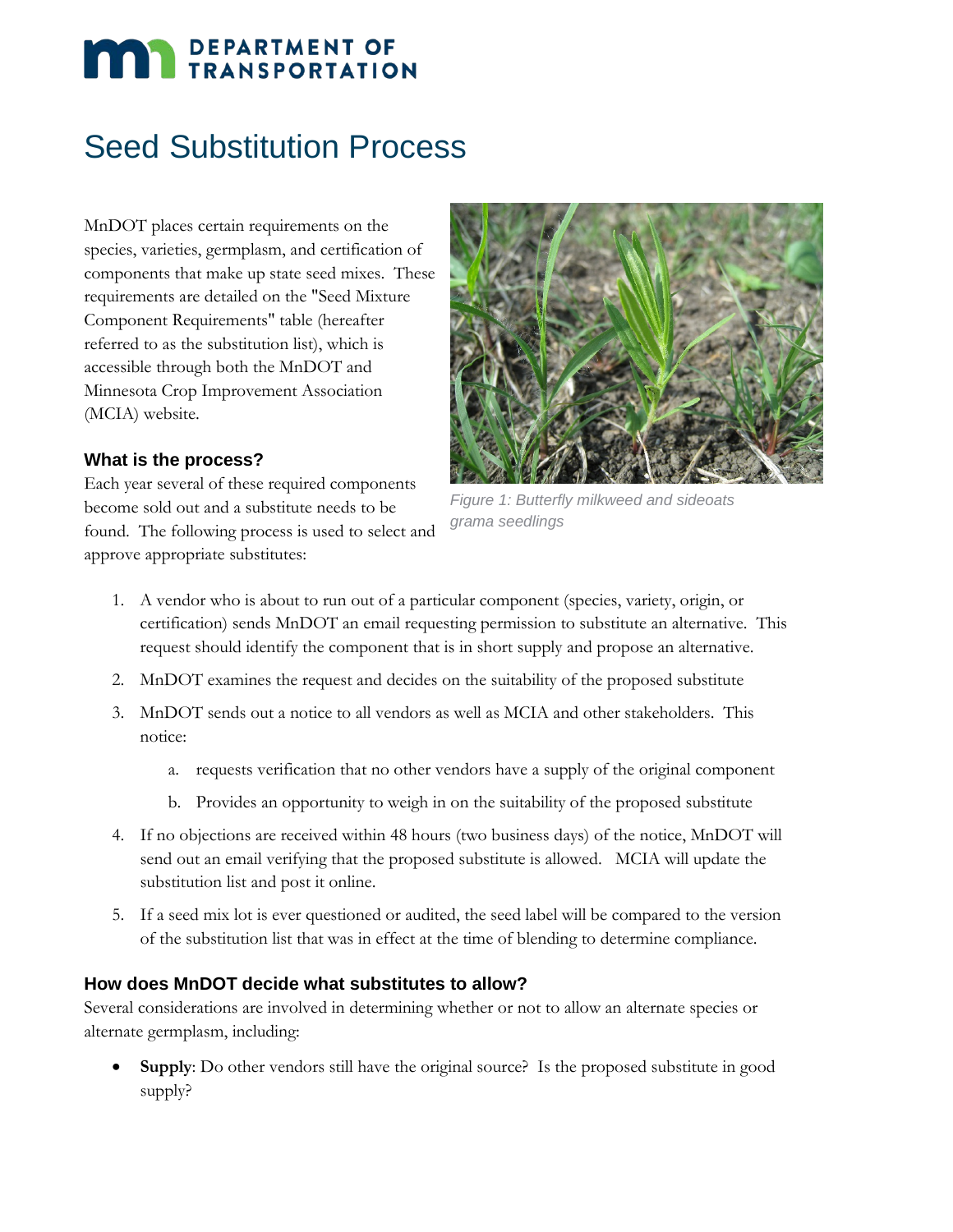# **DEPARTMENT OF TRANSPORTATION**

## Seed Substitution Process

MnDOT places certain requirements on the species, varieties, germplasm, and certification of components that make up state seed mixes. These requirements are detailed on the "Seed Mixture Component Requirements" table (hereafter referred to as the substitution list), which is accessible through both the MnDOT and Minnesota Crop Improvement Association (MCIA) website.



#### **What is the process?**

Each year several of these required components become sold out and a substitute needs to be found. The following process is used to select and approve appropriate substitutes:

*Figure 1: Butterfly milkweed and sideoats grama seedlings*

- 1. A vendor who is about to run out of a particular component (species, variety, origin, or certification) sends MnDOT an email requesting permission to substitute an alternative. This request should identify the component that is in short supply and propose an alternative.
- 2. MnDOT examines the request and decides on the suitability of the proposed substitute
- 3. MnDOT sends out a notice to all vendors as well as MCIA and other stakeholders. This notice:
	- a. requests verification that no other vendors have a supply of the original component
	- b. Provides an opportunity to weigh in on the suitability of the proposed substitute
- 4. If no objections are received within 48 hours (two business days) of the notice, MnDOT will send out an email verifying that the proposed substitute is allowed. MCIA will update the substitution list and post it online.
- 5. If a seed mix lot is ever questioned or audited, the seed label will be compared to the version of the substitution list that was in effect at the time of blending to determine compliance.

#### **How does MnDOT decide what substitutes to allow?**

Several considerations are involved in determining whether or not to allow an alternate species or alternate germplasm, including:

**Supply**: Do other vendors still have the original source? Is the proposed substitute in good supply?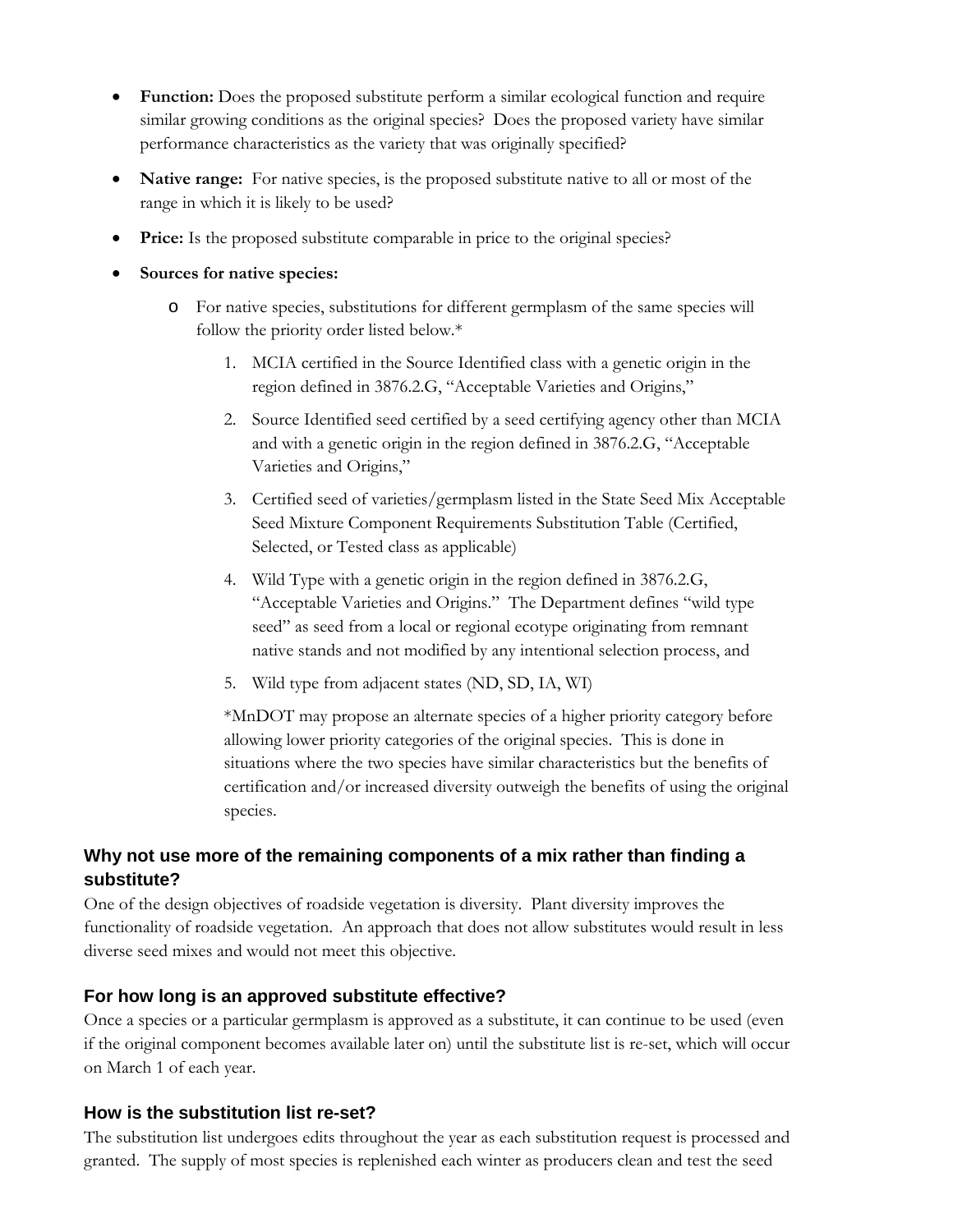- **Function:** Does the proposed substitute perform a similar ecological function and require similar growing conditions as the original species? Does the proposed variety have similar performance characteristics as the variety that was originally specified?
- **Native range:** For native species, is the proposed substitute native to all or most of the range in which it is likely to be used?
- Price: Is the proposed substitute comparable in price to the original species?
- **Sources for native species:**
	- o For native species, substitutions for different germplasm of the same species will follow the priority order listed below.\*
		- 1. MCIA certified in the Source Identified class with a genetic origin in the region defined in 3876.2.G, "Acceptable Varieties and Origins,"
		- 2. Source Identified seed certified by a seed certifying agency other than MCIA and with a genetic origin in the region defined in 3876.2.G, "Acceptable Varieties and Origins,"
		- 3. Certified seed of varieties/germplasm listed in the State Seed Mix Acceptable Seed Mixture Component Requirements Substitution Table (Certified, Selected, or Tested class as applicable)
		- 4. Wild Type with a genetic origin in the region defined in 3876.2.G, "Acceptable Varieties and Origins." The Department defines "wild type seed" as seed from a local or regional ecotype originating from remnant native stands and not modified by any intentional selection process, and
		- 5. Wild type from adjacent states (ND, SD, IA, WI)

\*MnDOT may propose an alternate species of a higher priority category before allowing lower priority categories of the original species. This is done in situations where the two species have similar characteristics but the benefits of certification and/or increased diversity outweigh the benefits of using the original species.

#### **Why not use more of the remaining components of a mix rather than finding a substitute?**

One of the design objectives of roadside vegetation is diversity. Plant diversity improves the functionality of roadside vegetation. An approach that does not allow substitutes would result in less diverse seed mixes and would not meet this objective.

#### **For how long is an approved substitute effective?**

Once a species or a particular germplasm is approved as a substitute, it can continue to be used (even if the original component becomes available later on) until the substitute list is re-set, which will occur on March 1 of each year.

#### **How is the substitution list re-set?**

The substitution list undergoes edits throughout the year as each substitution request is processed and granted. The supply of most species is replenished each winter as producers clean and test the seed